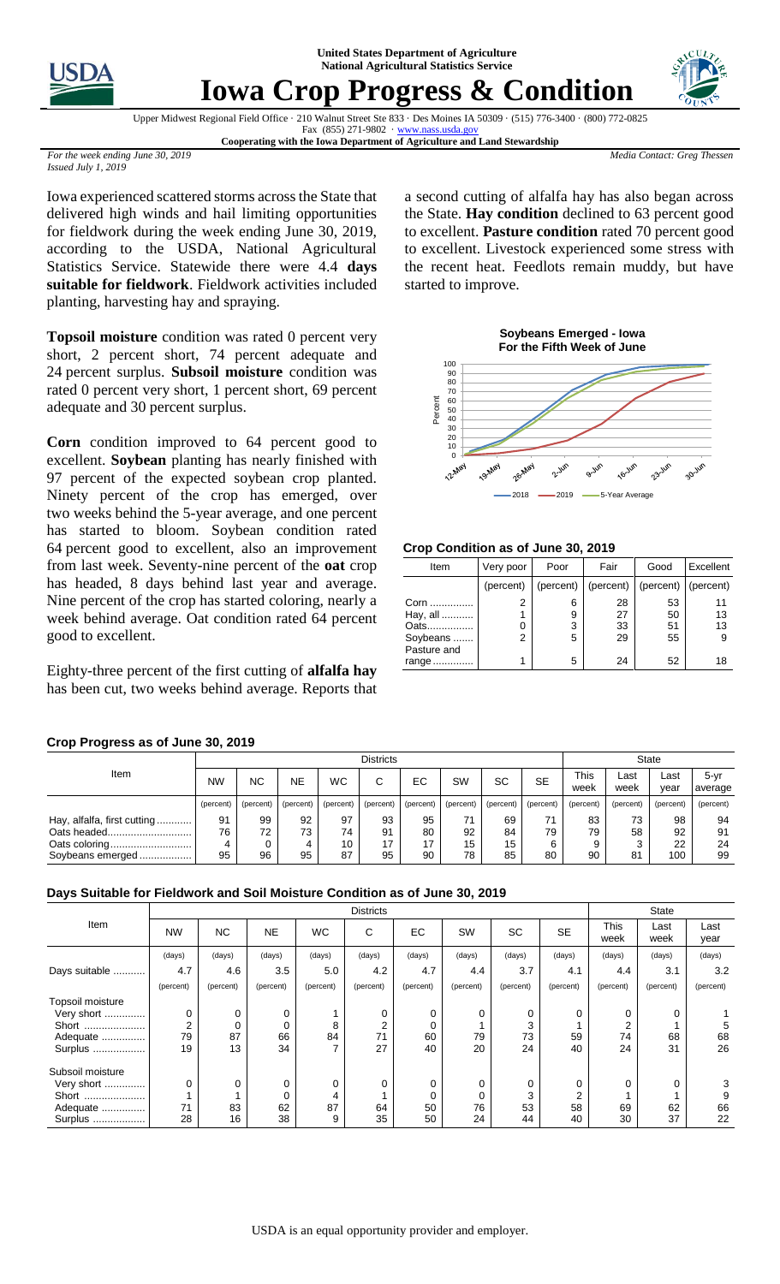**United States Department of Agriculture National Agricultural Statistics Service**



## **Iowa Crop Progress & Condition**



Upper Midwest Regional Field Office · 210 Walnut Street Ste 833 · Des Moines IA 50309 · (515) 776-3400 · (800) 772-0825 Fax  $(855)$  271-9802 · www.nass.usda.go

**Cooperating with the Iowa Department of Agriculture and Land Stewardship**

*Media Contact: Greg Thessen*

*For the week ending June 30, 2019 Issued July 1, 2019*

Iowa experienced scattered storms across the State that delivered high winds and hail limiting opportunities for fieldwork during the week ending June 30, 2019, according to the USDA, National Agricultural Statistics Service. Statewide there were 4.4 **days suitable for fieldwork**. Fieldwork activities included planting, harvesting hay and spraying.

**Topsoil moisture** condition was rated 0 percent very short, 2 percent short, 74 percent adequate and percent surplus. **Subsoil moisture** condition was rated 0 percent very short, 1 percent short, 69 percent adequate and 30 percent surplus.

**Corn** condition improved to 64 percent good to excellent. **Soybean** planting has nearly finished with 97 percent of the expected soybean crop planted. Ninety percent of the crop has emerged, over two weeks behind the 5-year average, and one percent has started to bloom. Soybean condition rated percent good to excellent, also an improvement from last week. Seventy-nine percent of the **oat** crop has headed, 8 days behind last year and average. Nine percent of the crop has started coloring, nearly a week behind average. Oat condition rated 64 percent good to excellent.

Eighty-three percent of the first cutting of **alfalfa hay**  has been cut, two weeks behind average. Reports that

## **Crop Progress as of June 30, 2019**

Item Districts State State State State State State State State State State State State NW  $\mid$  NC  $\mid$  NE  $\mid$  WC  $\mid$  C  $\mid$  EC  $\mid$  SW  $\mid$  SC  $\mid$  SE  $\mid$  <sup>This</sup> week Last week Last year 5-yr average (percent) (percent) (percent) (percent) (percent) (percent) (percent) (percent) (percent) (percent) (percent) (percent) (percent) Hay, alfalfa, first cutting ............ Oats headed............................. Oats coloring... Soybeans emerged .........  $\overline{0}$   $\frac{6}{4}$   $\frac{1}{17}$  

## **Days Suitable for Fieldwork and Soil Moisture Condition as of June 30, 2019**

|                  | <b>Districts</b> |           |           |           |                |           |           |           |           | <b>State</b> |              |              |
|------------------|------------------|-----------|-----------|-----------|----------------|-----------|-----------|-----------|-----------|--------------|--------------|--------------|
| Item             | <b>NW</b>        | NC.       | <b>NE</b> | <b>WC</b> | C              | EC.       | SW        | <b>SC</b> | <b>SE</b> | This<br>week | Last<br>week | Last<br>year |
|                  | (days)           | (days)    | (days)    | (days)    | (days)         | (days)    | (days)    | (days)    | (days)    | (days)       | (days)       | (days)       |
| Days suitable    | 4.7              | 4.6       | 3.5       | 5.0       | 4.2            | 4.7       | 4.4       | 3.7       | 4.1       | 4.4          | 3.1          | 3.2          |
|                  | (percent)        | (percent) | (percent) | (percent) | (percent)      | (percent) | (percent) | (percent) | (percent) | (percent)    | (percent)    | (percent)    |
| Topsoil moisture |                  |           |           |           |                |           |           |           |           |              |              |              |
| Very short       | 0                | 0         | 0         |           | 0              | 0         | $\Omega$  | 0         | 0         | $\Omega$     | 0            |              |
| Short            | 2                | 0         | 0         | 8         | $\overline{2}$ | 0         |           | 3         |           | 2            |              | 5            |
| Adequate         | 79               | 87        | 66        | 84        | 71             | 60        | 79        | 73        | 59        | 74           | 68           | 68           |
| Surplus          | 19               | 13        | 34        |           | 27             | 40        | 20        | 24        | 40        | 24           | 31           | 26           |
| Subsoil moisture |                  |           |           |           |                |           |           |           |           |              |              |              |
| Very short       | 0                | 0         | 0         | 0         | 0              | 0         | 0         | 0         | 0         | $\Omega$     | 0            | 3            |
| Short            |                  |           | 0         | 4         |                | 0         |           | 3         | 2         |              |              | 9            |
| Adequate         | 71               | 83        | 62        | 87        | 64             | 50        | 76        | 53        | 58        | 69           | 62           | 66           |
| Surplus          | 28               | 16        | 38        | 9         | 35             | 50        | 24        | 44        | 40        | 30           | 37           | 22           |

a second cutting of alfalfa hay has also began across the State. **Hay condition** declined to 63 percent good to excellent. **Pasture condition** rated 70 percent good to excellent. Livestock experienced some stress with the recent heat. Feedlots remain muddy, but have started to improve.



**Crop Condition as of June 30, 2019**

| Item                                                | Very poor | Poor             | Fair                 | Good                  | Excellent           |
|-----------------------------------------------------|-----------|------------------|----------------------|-----------------------|---------------------|
|                                                     | (percent) | (percent)        | (percent)            | $(percent)$ (percent) |                     |
| Corn<br>Hay, all<br>Oats<br>Soybeans<br>Pasture and | 2<br>2    | 6<br>9<br>3<br>5 | 28<br>27<br>33<br>29 | 53<br>50<br>51<br>55  | 11<br>13<br>13<br>9 |
| range                                               |           | 5                | 24                   | 52                    | 18                  |